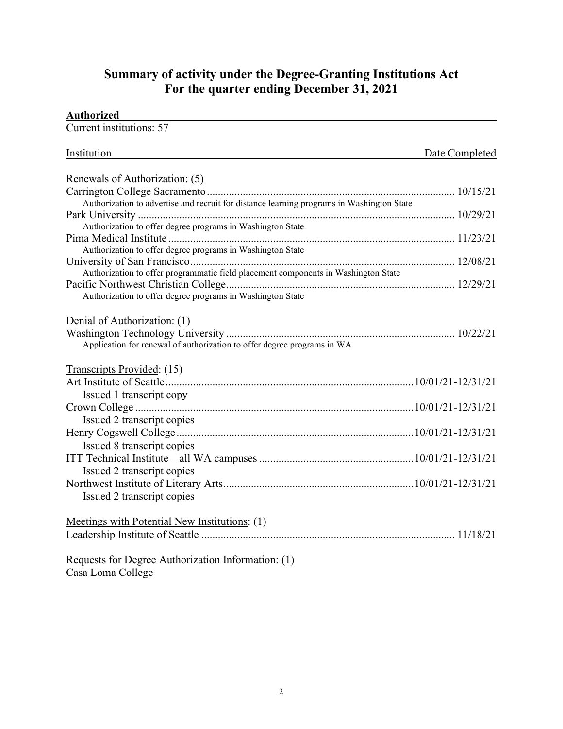## **Summary of activity under the Degree-Granting Institutions Act For the quarter ending December 31, 2021**

| <b>Authorized</b>                                                                         |                |
|-------------------------------------------------------------------------------------------|----------------|
| Current institutions: 57                                                                  |                |
| Institution                                                                               | Date Completed |
| Renewals of Authorization: (5)                                                            |                |
|                                                                                           |                |
| Authorization to advertise and recruit for distance learning programs in Washington State |                |
|                                                                                           |                |
| Authorization to offer degree programs in Washington State                                |                |
|                                                                                           |                |
| Authorization to offer degree programs in Washington State                                |                |
|                                                                                           |                |
| Authorization to offer programmatic field placement components in Washington State        |                |
| Authorization to offer degree programs in Washington State                                |                |
| Application for renewal of authorization to offer degree programs in WA                   |                |
| Transcripts Provided: (15)                                                                |                |
| Issued 1 transcript copy                                                                  |                |
|                                                                                           |                |
| Issued 2 transcript copies                                                                |                |
|                                                                                           |                |
| Issued 8 transcript copies                                                                |                |
|                                                                                           |                |
| Issued 2 transcript copies                                                                |                |
|                                                                                           |                |
| Issued 2 transcript copies                                                                |                |
| Meetings with Potential New Institutions: (1)                                             |                |
|                                                                                           |                |
| Requests for Degree Authorization Information: (1)                                        |                |
| Casa Loma College                                                                         |                |